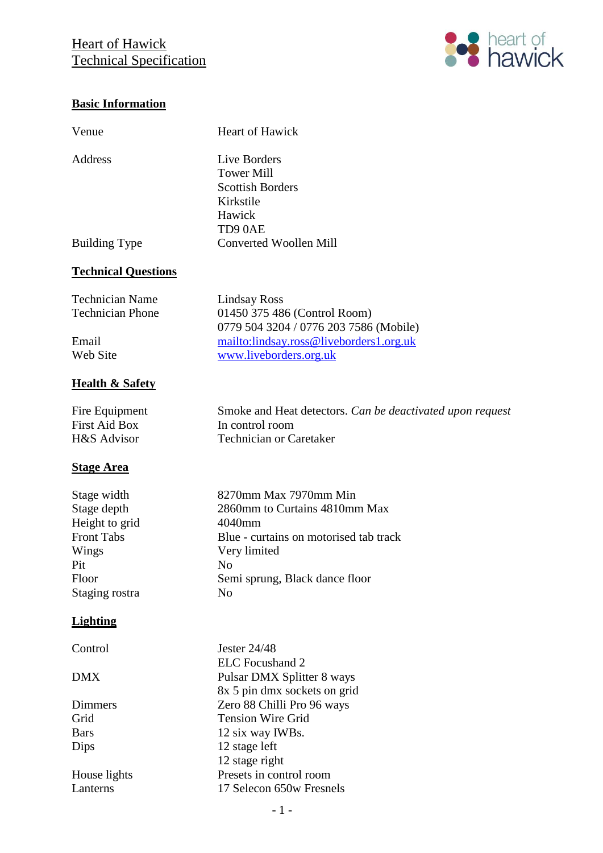## **Heart of Hawick** Technical Specification



#### **Basic Information**

| Venue                                                                                                        | Heart of Hawick                                                                                                                                                                      |
|--------------------------------------------------------------------------------------------------------------|--------------------------------------------------------------------------------------------------------------------------------------------------------------------------------------|
| <b>Address</b>                                                                                               | Live Borders<br><b>Tower Mill</b><br><b>Scottish Borders</b><br>Kirkstile<br>Hawick<br>TD90AE                                                                                        |
| <b>Building Type</b>                                                                                         | <b>Converted Woollen Mill</b>                                                                                                                                                        |
| <b>Technical Questions</b>                                                                                   |                                                                                                                                                                                      |
| <b>Technician Name</b><br><b>Technician Phone</b><br>Email<br>Web Site                                       | <b>Lindsay Ross</b><br>01450 375 486 (Control Room)<br>0779 504 3204 / 0776 203 7586 (Mobile)<br>mailto:lindsay.ross@liveborders1.org.uk<br>www.liveborders.org.uk                   |
| <b>Health &amp; Safety</b>                                                                                   |                                                                                                                                                                                      |
| Fire Equipment<br><b>First Aid Box</b><br>H&S Advisor                                                        | Smoke and Heat detectors. Can be deactivated upon request<br>In control room<br><b>Technician or Caretaker</b>                                                                       |
| <b>Stage Area</b>                                                                                            |                                                                                                                                                                                      |
| Stage width<br>Stage depth<br>Height to grid<br><b>Front Tabs</b><br>Wings<br>Pit<br>Floor<br>Staging rostra | 8270mm Max 7970mm Min<br>2860mm to Curtains 4810mm Max<br>4040mm<br>Blue - curtains on motorised tab track<br>Very limited<br>No<br>Semi sprung, Black dance floor<br>N <sub>0</sub> |
| <b>Lighting</b>                                                                                              |                                                                                                                                                                                      |
| Control<br><b>DMX</b>                                                                                        | <b>Jester 24/48</b><br><b>ELC</b> Focushand 2                                                                                                                                        |
| Dimmers                                                                                                      | Pulsar DMX Splitter 8 ways<br>8x 5 pin dmx sockets on grid<br>Zero 88 Chilli Pro 96 ways                                                                                             |
| Grid                                                                                                         | <b>Tension Wire Grid</b>                                                                                                                                                             |
| <b>Bars</b>                                                                                                  | 12 six way IWBs.                                                                                                                                                                     |
| Dips                                                                                                         | 12 stage left<br>12 stage right                                                                                                                                                      |
| House lights                                                                                                 | Presets in control room                                                                                                                                                              |

Lanterns 17 Selecon 650w Fresnels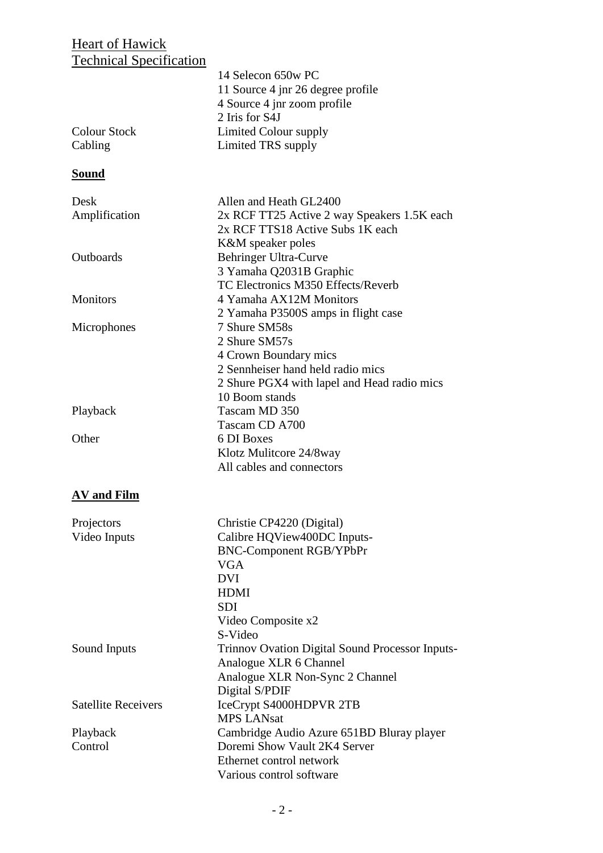### **Heart of Hawick** Technical Specification

| Technical Specification    |                                                 |
|----------------------------|-------------------------------------------------|
|                            | 14 Selecon 650w PC                              |
|                            | 11 Source 4 jnr 26 degree profile               |
|                            | 4 Source 4 jnr zoom profile                     |
|                            | 2 Iris for S4J                                  |
| <b>Colour Stock</b>        | Limited Colour supply                           |
| Cabling                    | Limited TRS supply                              |
|                            |                                                 |
| <b>Sound</b>               |                                                 |
| Desk                       | Allen and Heath GL2400                          |
| Amplification              | 2x RCF TT25 Active 2 way Speakers 1.5K each     |
|                            | 2x RCF TTS18 Active Subs 1K each                |
|                            | K&M speaker poles                               |
| Outboards                  | Behringer Ultra-Curve                           |
|                            | 3 Yamaha Q2031B Graphic                         |
|                            | TC Electronics M350 Effects/Reverb              |
|                            |                                                 |
| <b>Monitors</b>            | 4 Yamaha AX12M Monitors                         |
|                            | 2 Yamaha P3500S amps in flight case             |
| Microphones                | 7 Shure SM58s                                   |
|                            | 2 Shure SM57s                                   |
|                            | 4 Crown Boundary mics                           |
|                            | 2 Sennheiser hand held radio mics               |
|                            | 2 Shure PGX4 with lapel and Head radio mics     |
|                            | 10 Boom stands                                  |
| Playback                   | Tascam MD 350                                   |
|                            | Tascam CD A700                                  |
|                            |                                                 |
| Other                      | 6 DI Boxes                                      |
|                            | Klotz Mulitcore 24/8way                         |
|                            | All cables and connectors                       |
| <b>AV</b> and Film         |                                                 |
| Projectors                 | Christie CP4220 (Digital)                       |
| Video Inputs               | Calibre HQView400DC Inputs-                     |
|                            | <b>BNC-Component RGB/YPbPr</b>                  |
|                            |                                                 |
|                            | <b>VGA</b>                                      |
|                            | <b>DVI</b>                                      |
|                            | <b>HDMI</b>                                     |
|                            | <b>SDI</b>                                      |
|                            | Video Composite x2                              |
|                            | S-Video                                         |
| Sound Inputs               | Trinnov Ovation Digital Sound Processor Inputs- |
|                            | Analogue XLR 6 Channel                          |
|                            | Analogue XLR Non-Sync 2 Channel                 |
|                            | Digital S/PDIF                                  |
|                            |                                                 |
| <b>Satellite Receivers</b> | IceCrypt S4000HDPVR 2TB                         |
|                            | <b>MPS LANsat</b>                               |
| Playback                   | Cambridge Audio Azure 651BD Bluray player       |
| Control                    | Doremi Show Vault 2K4 Server                    |
|                            | Ethernet control network                        |
|                            | Various control software                        |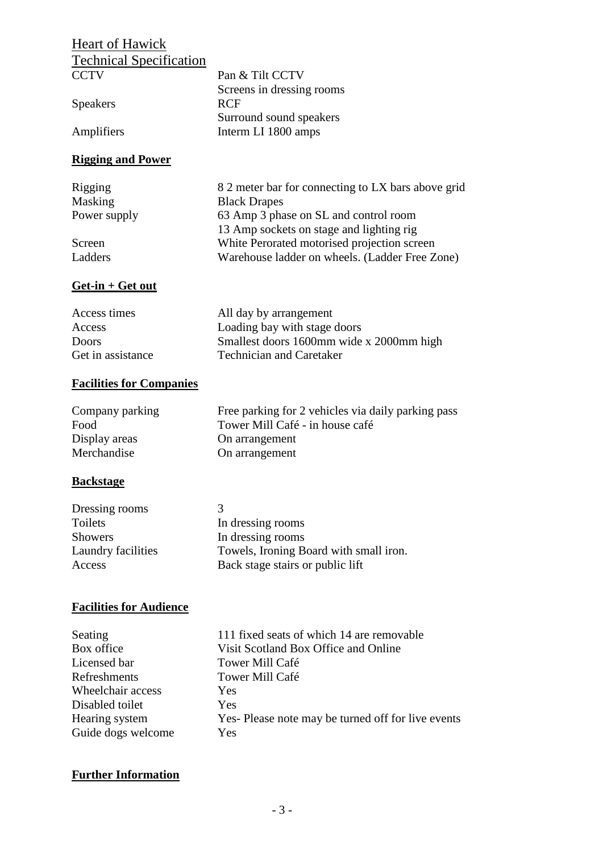# **Heart of Hawick** Technical Specification

| CCTV                     | Pan & Tilt CCTV                                    |
|--------------------------|----------------------------------------------------|
|                          | Screens in dressing rooms                          |
| <b>Speakers</b>          | RCF                                                |
|                          | Surround sound speakers                            |
| Amplifiers               | Interm LI 1800 amps                                |
| <b>Rigging and Power</b> |                                                    |
| Rigging                  | 8.2 meter bar for connecting to LX bars above grid |
| Masking                  | <b>Black Drapes</b>                                |
| Power supply             | 63 Amp 3 phase on SL and control room              |
|                          | 13 Amp sockets on stage and lighting rig           |
| Screen                   | White Perorated motorised projection screen        |
| Ladders                  | Warehouse ladder on wheels. (Ladder Free Zone)     |
|                          |                                                    |
|                          |                                                    |
| $Get-in + Get out$       |                                                    |

| Access times      | All day by arrangement                   |
|-------------------|------------------------------------------|
| Access            | Loading bay with stage doors             |
| Doors             | Smallest doors 1600mm wide x 2000mm high |
| Get in assistance | <b>Technician and Caretaker</b>          |

#### **Facilities for Companies**

| Company parking | Free parking for 2 vehicles via daily parking pass |
|-----------------|----------------------------------------------------|
| Food            | Tower Mill Café - in house café                    |
| Display areas   | On arrangement                                     |
| Merchandise     | On arrangement                                     |

#### **Backstage**

| Dressing rooms     | К                                      |
|--------------------|----------------------------------------|
| Toilets            | In dressing rooms                      |
| <b>Showers</b>     | In dressing rooms                      |
| Laundry facilities | Towels, Ironing Board with small iron. |
| Access             | Back stage stairs or public lift       |

#### **Facilities for Audience**

| Seating            | 111        |
|--------------------|------------|
| Box office         | Visit      |
| Licensed bar       | <b>Tow</b> |
| Refreshments       | <b>Tow</b> |
| Wheelchair access  | Yes.       |
| Disabled toilet    | Yes.       |
| Hearing system     | Yes-       |
| Guide dogs welcome | <b>Yes</b> |
|                    |            |

111 fixed seats of which 14 are removable Visit Scotland Box Office and Online Tower Mill Café Tower Mill Café Yes Yes Yes- Please note may be turned off for live events

#### **Further Information**